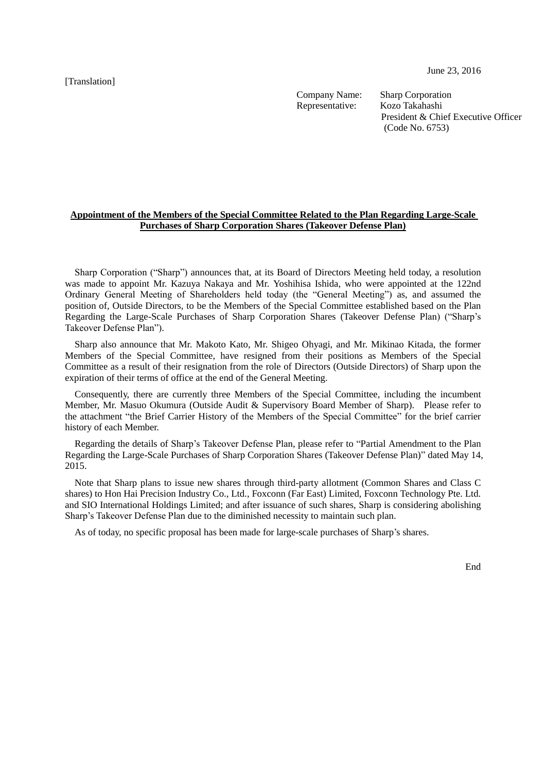[Translation]

June 23, 2016

Company Name: Sharp Corporation Representative: Kozo Takahashi

President & Chief Executive Officer (Code No. 6753)

## **Appointment of the Members of the Special Committee Related to the Plan Regarding Large-Scale Purchases of Sharp Corporation Shares (Takeover Defense Plan)**

Sharp Corporation ("Sharp") announces that, at its Board of Directors Meeting held today, a resolution was made to appoint Mr. Kazuya Nakaya and Mr. Yoshihisa Ishida, who were appointed at the 122nd Ordinary General Meeting of Shareholders held today (the "General Meeting") as, and assumed the position of, Outside Directors, to be the Members of the Special Committee established based on the Plan Regarding the Large-Scale Purchases of Sharp Corporation Shares (Takeover Defense Plan) ("Sharp's Takeover Defense Plan").

Sharp also announce that Mr. Makoto Kato, Mr. Shigeo Ohyagi, and Mr. Mikinao Kitada, the former Members of the Special Committee, have resigned from their positions as Members of the Special Committee as a result of their resignation from the role of Directors (Outside Directors) of Sharp upon the expiration of their terms of office at the end of the General Meeting.

Consequently, there are currently three Members of the Special Committee, including the incumbent Member, Mr. Masuo Okumura (Outside Audit & Supervisory Board Member of Sharp). Please refer to the attachment "the Brief Carrier History of the Members of the Special Committee" for the brief carrier history of each Member.

Regarding the details of Sharp's Takeover Defense Plan, please refer to "Partial Amendment to the Plan Regarding the Large-Scale Purchases of Sharp Corporation Shares (Takeover Defense Plan)" dated May 14, 2015.

Note that Sharp plans to issue new shares through third-party allotment (Common Shares and Class C shares) to Hon Hai Precision Industry Co., Ltd., Foxconn (Far East) Limited, Foxconn Technology Pte. Ltd. and SIO International Holdings Limited; and after issuance of such shares, Sharp is considering abolishing Sharp's Takeover Defense Plan due to the diminished necessity to maintain such plan.

As of today, no specific proposal has been made for large-scale purchases of Sharp's shares.